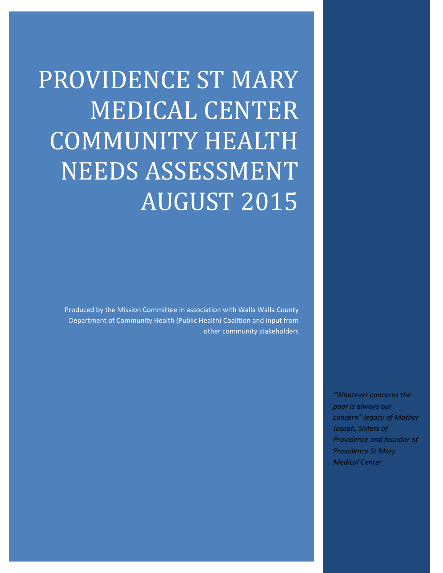PROVIDENCE ST MARY **MEDICAL CENTER** COMMUNITY HEALTH NEEDS ASSESSMENT **AUGUST 2015** 

> Produced by the Mission Committee in association with Walla Walla County Department of Community Health (Public Health) Coalition and input from other community stakeholders

> > *"Whatever concerns the poor is always our concern" legacy of Mother Joseph, Sisters of Providence and founder of Providence St Mary Medical Center*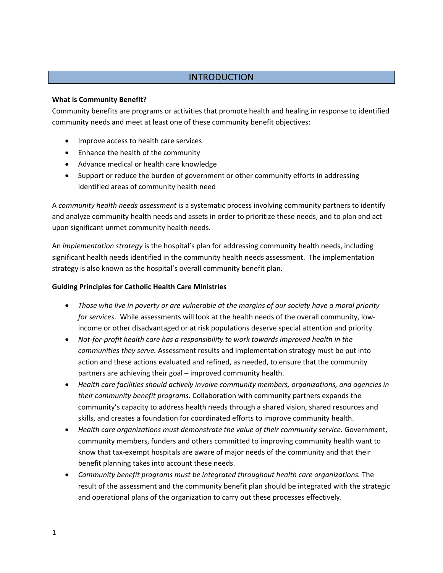# **INTRODUCTION**

### **What is Community Benefit?**

Community benefits are programs or activities that promote health and healing in response to identified community needs and meet at least one of these community benefit objectives:

- Improve access to health care services
- Enhance the health of the community
- Advance medical or health care knowledge
- Support or reduce the burden of government or other community efforts in addressing identified areas of community health need

A *community health needs assessment* is a systematic process involving community partners to identify and analyze community health needs and assets in order to prioritize these needs, and to plan and act upon significant unmet community health needs.

An *implementation strategy* is the hospital's plan for addressing community health needs, including significant health needs identified in the community health needs assessment. The implementation strategy is also known as the hospital's overall community benefit plan.

#### **Guiding Principles for Catholic Health Care Ministries**

- *Those who live in poverty or are vulnerable at the margins of our society have a moral priority for services*. While assessments will look at the health needs of the overall community, low‐ income or other disadvantaged or at risk populations deserve special attention and priority.
- *Not‐for‐profit health care has a responsibility to work towards improved health in the communities they serve.* Assessment results and implementation strategy must be put into action and these actions evaluated and refined, as needed, to ensure that the community partners are achieving their goal – improved community health.
- *Health care facilities should actively involve community members, organizations, and agencies in their community benefit programs.* Collaboration with community partners expands the community's capacity to address health needs through a shared vision, shared resources and skills, and creates a foundation for coordinated efforts to improve community health.
- *Health care organizations must demonstrate the value of their community service.* Government, community members, funders and others committed to improving community health want to know that tax-exempt hospitals are aware of major needs of the community and that their benefit planning takes into account these needs.
- *Community benefit programs must be integrated throughout health care organizations.* The result of the assessment and the community benefit plan should be integrated with the strategic and operational plans of the organization to carry out these processes effectively.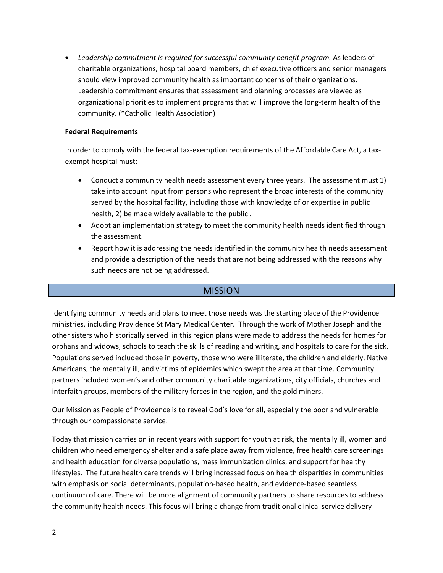*Leadership commitment is required for successful community benefit program.* As leaders of charitable organizations, hospital board members, chief executive officers and senior managers should view improved community health as important concerns of their organizations. Leadership commitment ensures that assessment and planning processes are viewed as organizational priorities to implement programs that will improve the long‐term health of the community. (\*Catholic Health Association)

#### **Federal Requirements**

In order to comply with the federal tax‐exemption requirements of the Affordable Care Act, a tax‐ exempt hospital must:

- Conduct a community health needs assessment every three years. The assessment must 1) take into account input from persons who represent the broad interests of the community served by the hospital facility, including those with knowledge of or expertise in public health, 2) be made widely available to the public .
- Adopt an implementation strategy to meet the community health needs identified through the assessment.
- Report how it is addressing the needs identified in the community health needs assessment and provide a description of the needs that are not being addressed with the reasons why such needs are not being addressed.

## **MISSION**

Identifying community needs and plans to meet those needs was the starting place of the Providence ministries, including Providence St Mary Medical Center. Through the work of Mother Joseph and the other sisters who historically served in this region plans were made to address the needs for homes for orphans and widows, schools to teach the skills of reading and writing, and hospitals to care for the sick. Populations served included those in poverty, those who were illiterate, the children and elderly, Native Americans, the mentally ill, and victims of epidemics which swept the area at that time. Community partners included women's and other community charitable organizations, city officials, churches and interfaith groups, members of the military forces in the region, and the gold miners.

Our Mission as People of Providence is to reveal God's love for all, especially the poor and vulnerable through our compassionate service.

Today that mission carries on in recent years with support for youth at risk, the mentally ill, women and children who need emergency shelter and a safe place away from violence, free health care screenings and health education for diverse populations, mass immunization clinics, and support for healthy lifestyles. The future health care trends will bring increased focus on health disparities in communities with emphasis on social determinants, population‐based health, and evidence‐based seamless continuum of care. There will be more alignment of community partners to share resources to address the community health needs. This focus will bring a change from traditional clinical service delivery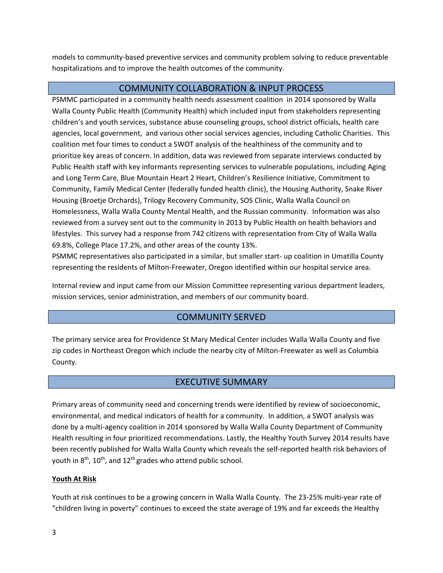models to community‐based preventive services and community problem solving to reduce preventable hospitalizations and to improve the health outcomes of the community.

## COMMUNITY COLLABORATION & INPUT PROCESS

PSMMC participated in a community health needs assessment coalition in 2014 sponsored by Walla Walla County Public Health (Community Health) which included input from stakeholders representing children's and youth services, substance abuse counseling groups, school district officials, health care agencies, local government, and various other social services agencies, including Catholic Charities. This coalition met four times to conduct a SWOT analysis of the healthiness of the community and to prioritize key areas of concern. In addition, data was reviewed from separate interviews conducted by Public Health staff with key informants representing services to vulnerable populations, including Aging and Long Term Care, Blue Mountain Heart 2 Heart, Children's Resilience Initiative, Commitment to Community, Family Medical Center (federally funded health clinic), the Housing Authority, Snake River Housing (Broetje Orchards), Trilogy Recovery Community, SOS Clinic, Walla Walla Council on Homelessness, Walla Walla County Mental Health, and the Russian community. Information was also reviewed from a survey sent out to the community in 2013 by Public Health on health behaviors and lifestyles. This survey had a response from 742 citizens with representation from City of Walla Walla 69.8%, College Place 17.2%, and other areas of the county 13%.

PSMMC representatives also participated in a similar, but smaller start- up coalition in Umatilla County representing the residents of Milton‐Freewater, Oregon identified within our hospital service area.

Internal review and input came from our Mission Committee representing various department leaders, mission services, senior administration, and members of our community board.

# COMMUNITY SERVED

The primary service area for Providence St Mary Medical Center includes Walla Walla County and five zip codes in Northeast Oregon which include the nearby city of Milton‐Freewater as well as Columbia County.

# EXECUTIVE SUMMARY

Primary areas of community need and concerning trends were identified by review of socioeconomic, environmental, and medical indicators of health for a community. In addition, a SWOT analysis was done by a multi‐agency coalition in 2014 sponsored by Walla Walla County Department of Community Health resulting in four prioritized recommendations. Lastly, the Healthy Youth Survey 2014 results have been recently published for Walla Walla County which reveals the self-reported health risk behaviors of youth in  $8<sup>th</sup>$ ,  $10<sup>th</sup>$ , and  $12<sup>th</sup>$  grades who attend public school.

#### **Youth At Risk**

Youth at risk continues to be a growing concern in Walla Walla County. The 23‐25% multi‐year rate of "children living in poverty" continues to exceed the state average of 19% and far exceeds the Healthy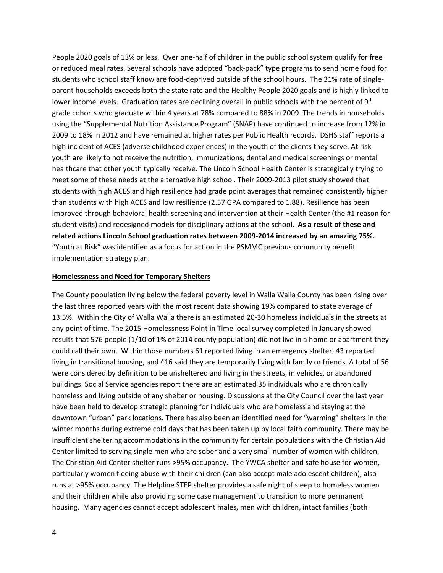People 2020 goals of 13% or less. Over one‐half of children in the public school system qualify for free or reduced meal rates. Several schools have adopted "back‐pack" type programs to send home food for students who school staff know are food‐deprived outside of the school hours. The 31% rate of single‐ parent households exceeds both the state rate and the Healthy People 2020 goals and is highly linked to lower income levels. Graduation rates are declining overall in public schools with the percent of 9<sup>th</sup> grade cohorts who graduate within 4 years at 78% compared to 88% in 2009. The trends in households using the "Supplemental Nutrition Assistance Program" (SNAP) have continued to increase from 12% in 2009 to 18% in 2012 and have remained at higher rates per Public Health records. DSHS staff reports a high incident of ACES (adverse childhood experiences) in the youth of the clients they serve. At risk youth are likely to not receive the nutrition, immunizations, dental and medical screenings or mental healthcare that other youth typically receive. The Lincoln School Health Center is strategically trying to meet some of these needs at the alternative high school. Their 2009‐2013 pilot study showed that students with high ACES and high resilience had grade point averages that remained consistently higher than students with high ACES and low resilience (2.57 GPA compared to 1.88). Resilience has been improved through behavioral health screening and intervention at their Health Center (the #1 reason for student visits) and redesigned models for disciplinary actions at the school. **As a result of these and related actions Lincoln School graduation rates between 2009‐2014 increased by an amazing 75%.** "Youth at Risk" was identified as a focus for action in the PSMMC previous community benefit implementation strategy plan.

#### **Homelessness and Need for Temporary Shelters**

The County population living below the federal poverty level in Walla Walla County has been rising over the last three reported years with the most recent data showing 19% compared to state average of 13.5%. Within the City of Walla Walla there is an estimated 20‐30 homeless individuals in the streets at any point of time. The 2015 Homelessness Point in Time local survey completed in January showed results that 576 people (1/10 of 1% of 2014 county population) did not live in a home or apartment they could call their own. Within those numbers 61 reported living in an emergency shelter, 43 reported living in transitional housing, and 416 said they are temporarily living with family or friends. A total of 56 were considered by definition to be unsheltered and living in the streets, in vehicles, or abandoned buildings. Social Service agencies report there are an estimated 35 individuals who are chronically homeless and living outside of any shelter or housing. Discussions at the City Council over the last year have been held to develop strategic planning for individuals who are homeless and staying at the downtown "urban" park locations. There has also been an identified need for "warming" shelters in the winter months during extreme cold days that has been taken up by local faith community. There may be insufficient sheltering accommodations in the community for certain populations with the Christian Aid Center limited to serving single men who are sober and a very small number of women with children. The Christian Aid Center shelter runs >95% occupancy. The YWCA shelter and safe house for women, particularly women fleeing abuse with their children (can also accept male adolescent children), also runs at >95% occupancy. The Helpline STEP shelter provides a safe night of sleep to homeless women and their children while also providing some case management to transition to more permanent housing. Many agencies cannot accept adolescent males, men with children, intact families (both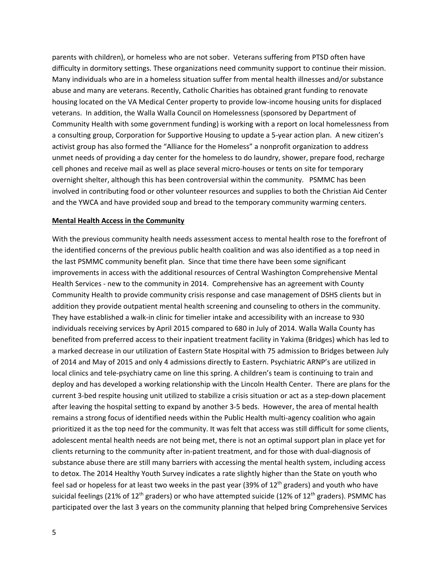parents with children), or homeless who are not sober. Veterans suffering from PTSD often have difficulty in dormitory settings. These organizations need community support to continue their mission. Many individuals who are in a homeless situation suffer from mental health illnesses and/or substance abuse and many are veterans. Recently, Catholic Charities has obtained grant funding to renovate housing located on the VA Medical Center property to provide low-income housing units for displaced veterans. In addition, the Walla Walla Council on Homelessness (sponsored by Department of Community Health with some government funding) is working with a report on local homelessness from a consulting group, Corporation for Supportive Housing to update a 5‐year action plan. A new citizen's activist group has also formed the "Alliance for the Homeless" a nonprofit organization to address unmet needs of providing a day center for the homeless to do laundry, shower, prepare food, recharge cell phones and receive mail as well as place several micro‐houses or tents on site for temporary overnight shelter, although this has been controversial within the community. PSMMC has been involved in contributing food or other volunteer resources and supplies to both the Christian Aid Center and the YWCA and have provided soup and bread to the temporary community warming centers.

#### **Mental Health Access in the Community**

With the previous community health needs assessment access to mental health rose to the forefront of the identified concerns of the previous public health coalition and was also identified as a top need in the last PSMMC community benefit plan. Since that time there have been some significant improvements in access with the additional resources of Central Washington Comprehensive Mental Health Services ‐ new to the community in 2014. Comprehensive has an agreement with County Community Health to provide community crisis response and case management of DSHS clients but in addition they provide outpatient mental health screening and counseling to others in the community. They have established a walk‐in clinic for timelier intake and accessibility with an increase to 930 individuals receiving services by April 2015 compared to 680 in July of 2014. Walla Walla County has benefited from preferred access to their inpatient treatment facility in Yakima (Bridges) which has led to a marked decrease in our utilization of Eastern State Hospital with 75 admission to Bridges between July of 2014 and May of 2015 and only 4 admissions directly to Eastern. Psychiatric ARNP's are utilized in local clinics and tele‐psychiatry came on line this spring. A children's team is continuing to train and deploy and has developed a working relationship with the Lincoln Health Center. There are plans for the current 3-bed respite housing unit utilized to stabilize a crisis situation or act as a step-down placement after leaving the hospital setting to expand by another 3‐5 beds. However, the area of mental health remains a strong focus of identified needs within the Public Health multi-agency coalition who again prioritized it as the top need for the community. It was felt that access was still difficult for some clients, adolescent mental health needs are not being met, there is not an optimal support plan in place yet for clients returning to the community after in‐patient treatment, and for those with dual‐diagnosis of substance abuse there are still many barriers with accessing the mental health system, including access to detox. The 2014 Healthy Youth Survey indicates a rate slightly higher than the State on youth who feel sad or hopeless for at least two weeks in the past year (39% of  $12<sup>th</sup>$  graders) and youth who have suicidal feelings (21% of 12<sup>th</sup> graders) or who have attempted suicide (12% of 12<sup>th</sup> graders). PSMMC has participated over the last 3 years on the community planning that helped bring Comprehensive Services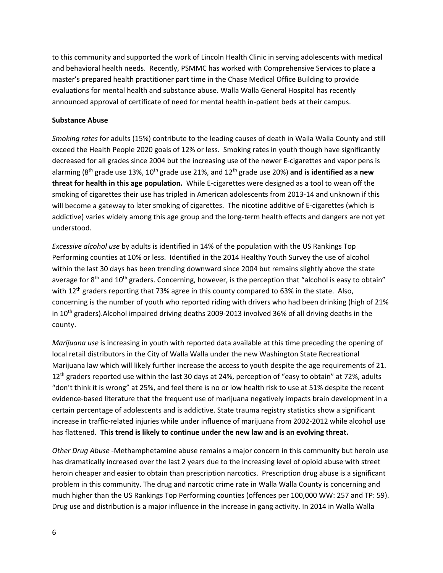to this community and supported the work of Lincoln Health Clinic in serving adolescents with medical and behavioral health needs. Recently, PSMMC has worked with Comprehensive Services to place a master's prepared health practitioner part time in the Chase Medical Office Building to provide evaluations for mental health and substance abuse. Walla Walla General Hospital has recently announced approval of certificate of need for mental health in‐patient beds at their campus.

#### **Substance Abuse**

*Smoking rates* for adults (15%) contribute to the leading causes of death in Walla Walla County and still exceed the Health People 2020 goals of 12% or less. Smoking rates in youth though have significantly decreased for all grades since 2004 but the increasing use of the newer E‐cigarettes and vapor pens is alarming (8th grade use 13%, 10th grade use 21%, and 12th grade use 20%) **and is identified as a new threat for health in this age population.** While E‐cigarettes were designed as a tool to wean off the smoking of cigarettes their use has tripled in American adolescents from 2013-14 and unknown if this will become a gateway to later smoking of cigarettes. The nicotine additive of E‐cigarettes (which is addictive) varies widely among this age group and the long‐term health effects and dangers are not yet understood.

*Excessive alcohol use* by adults is identified in 14% of the population with the US Rankings Top Performing counties at 10% or less. Identified in the 2014 Healthy Youth Survey the use of alcohol within the last 30 days has been trending downward since 2004 but remains slightly above the state average for  $8<sup>th</sup>$  and  $10<sup>th</sup>$  graders. Concerning, however, is the perception that "alcohol is easy to obtain" with 12<sup>th</sup> graders reporting that 73% agree in this county compared to 63% in the state. Also, concerning is the number of youth who reported riding with drivers who had been drinking (high of 21% in 10<sup>th</sup> graders). Alcohol impaired driving deaths 2009–2013 involved 36% of all driving deaths in the county.

*Marijuana use* is increasing in youth with reported data available at this time preceding the opening of local retail distributors in the City of Walla Walla under the new Washington State Recreational Marijuana law which will likely further increase the access to youth despite the age requirements of 21. 12<sup>th</sup> graders reported use within the last 30 days at 24%, perception of "easy to obtain" at 72%, adults "don't think it is wrong" at 25%, and feel there is no or low health risk to use at 51% despite the recent evidence‐based literature that the frequent use of marijuana negatively impacts brain development in a certain percentage of adolescents and is addictive. State trauma registry statistics show a significant increase in traffic‐related injuries while under influence of marijuana from 2002‐2012 while alcohol use has flattened. **This trend is likely to continue under the new law and is an evolving threat.**

*Other Drug Abuse ‐*Methamphetamine abuse remains a major concern in this community but heroin use has dramatically increased over the last 2 years due to the increasing level of opioid abuse with street heroin cheaper and easier to obtain than prescription narcotics. Prescription drug abuse is a significant problem in this community. The drug and narcotic crime rate in Walla Walla County is concerning and much higher than the US Rankings Top Performing counties (offences per 100,000 WW: 257 and TP: 59). Drug use and distribution is a major influence in the increase in gang activity. In 2014 in Walla Walla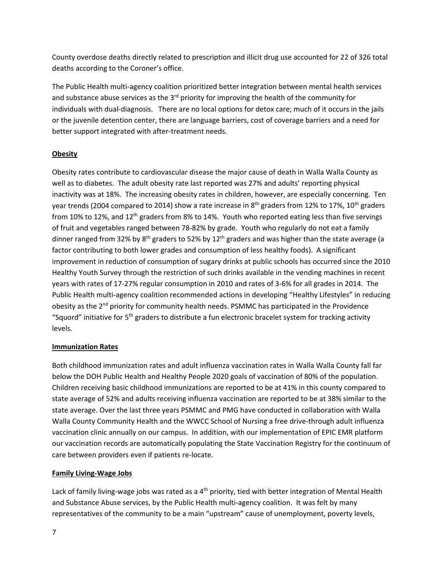County overdose deaths directly related to prescription and illicit drug use accounted for 22 of 326 total deaths according to the Coroner's office.

The Public Health multi‐agency coalition prioritized better integration between mental health services and substance abuse services as the  $3^{rd}$  priority for improving the health of the community for individuals with dual‐diagnosis. There are no local options for detox care; much of it occurs in the jails or the juvenile detention center, there are language barriers, cost of coverage barriers and a need for better support integrated with after‐treatment needs.

## **Obesity**

Obesity rates contribute to cardiovascular disease the major cause of death in Walla Walla County as well as to diabetes. The adult obesity rate last reported was 27% and adults' reporting physical inactivity was at 18%. The increasing obesity rates in children, however, are especially concerning. Ten year trends (2004 compared to 2014) show a rate increase in  $8<sup>th</sup>$  graders from 12% to 17%, 10<sup>th</sup> graders from 10% to 12%, and 12<sup>th</sup> graders from 8% to 14%. Youth who reported eating less than five servings of fruit and vegetables ranged between 78‐82% by grade. Youth who regularly do not eat a family dinner ranged from 32% by  $8<sup>th</sup>$  graders to 52% by 12<sup>th</sup> graders and was higher than the state average (a factor contributing to both lower grades and consumption of less healthy foods). A significant improvement in reduction of consumption of sugary drinks at public schools has occurred since the 2010 Healthy Youth Survey through the restriction of such drinks available in the vending machines in recent years with rates of 17‐27% regular consumption in 2010 and rates of 3‐6% for all grades in 2014. The Public Health multi‐agency coalition recommended actions in developing "Healthy Lifestyles" in reducing obesity as the 2<sup>nd</sup> priority for community health needs. PSMMC has participated in the Providence "Squord" initiative for 5<sup>th</sup> graders to distribute a fun electronic bracelet system for tracking activity levels.

## **Immunization Rates**

Both childhood immunization rates and adult influenza vaccination rates in Walla Walla County fall far below the DOH Public Health and Healthy People 2020 goals of vaccination of 80% of the population. Children receiving basic childhood immunizations are reported to be at 41% in this county compared to state average of 52% and adults receiving influenza vaccination are reported to be at 38% similar to the state average. Over the last three years PSMMC and PMG have conducted in collaboration with Walla Walla County Community Health and the WWCC School of Nursing a free drive-through adult influenza vaccination clinic annually on our campus. In addition, with our implementation of EPIC EMR platform our vaccination records are automatically populating the State Vaccination Registry for the continuum of care between providers even if patients re‐locate.

# **Family Living‐Wage Jobs**

Lack of family living-wage jobs was rated as a 4<sup>th</sup> priority, tied with better integration of Mental Health and Substance Abuse services, by the Public Health multi-agency coalition. It was felt by many representatives of the community to be a main "upstream" cause of unemployment, poverty levels,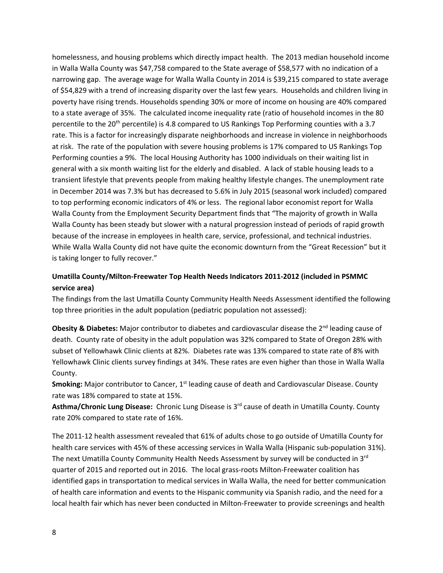homelessness, and housing problems which directly impact health. The 2013 median household income in Walla Walla County was \$47,758 compared to the State average of \$58,577 with no indication of a narrowing gap. The average wage for Walla Walla County in 2014 is \$39,215 compared to state average of \$54,829 with a trend of increasing disparity over the last few years. Households and children living in poverty have rising trends. Households spending 30% or more of income on housing are 40% compared to a state average of 35%. The calculated income inequality rate (ratio of household incomes in the 80 percentile to the 20<sup>th</sup> percentile) is 4.8 compared to US Rankings Top Performing counties with a 3.7 rate. This is a factor for increasingly disparate neighborhoods and increase in violence in neighborhoods at risk. The rate of the population with severe housing problems is 17% compared to US Rankings Top Performing counties a 9%. The local Housing Authority has 1000 individuals on their waiting list in general with a six month waiting list for the elderly and disabled. A lack of stable housing leads to a transient lifestyle that prevents people from making healthy lifestyle changes. The unemployment rate in December 2014 was 7.3% but has decreased to 5.6% in July 2015 (seasonal work included) compared to top performing economic indicators of 4% or less. The regional labor economist report for Walla Walla County from the Employment Security Department finds that "The majority of growth in Walla Walla County has been steady but slower with a natural progression instead of periods of rapid growth because of the increase in employees in health care, service, professional, and technical industries. While Walla Walla County did not have quite the economic downturn from the "Great Recession" but it is taking longer to fully recover."

## **Umatilla County/Milton‐Freewater Top Health Needs Indicators 2011‐2012 (included in PSMMC service area)**

The findings from the last Umatilla County Community Health Needs Assessment identified the following top three priorities in the adult population (pediatric population not assessed):

**Obesity & Diabetes:** Major contributor to diabetes and cardiovascular disease the 2<sup>nd</sup> leading cause of death. County rate of obesity in the adult population was 32% compared to State of Oregon 28% with subset of Yellowhawk Clinic clients at 82%. Diabetes rate was 13% compared to state rate of 8% with Yellowhawk Clinic clients survey findings at 34%. These rates are even higher than those in Walla Walla County.

**Smoking:** Major contributor to Cancer, 1<sup>st</sup> leading cause of death and Cardiovascular Disease. County rate was 18% compared to state at 15%.

**Asthma/Chronic Lung Disease:** Chronic Lung Disease is 3rd cause of death in Umatilla County. County rate 20% compared to state rate of 16%.

The 2011-12 health assessment revealed that 61% of adults chose to go outside of Umatilla County for health care services with 45% of these accessing services in Walla Walla (Hispanic sub-population 31%). The next Umatilla County Community Health Needs Assessment by survey will be conducted in 3<sup>rd</sup> quarter of 2015 and reported out in 2016. The local grass-roots Milton-Freewater coalition has identified gaps in transportation to medical services in Walla Walla, the need for better communication of health care information and events to the Hispanic community via Spanish radio, and the need for a local health fair which has never been conducted in Milton‐Freewater to provide screenings and health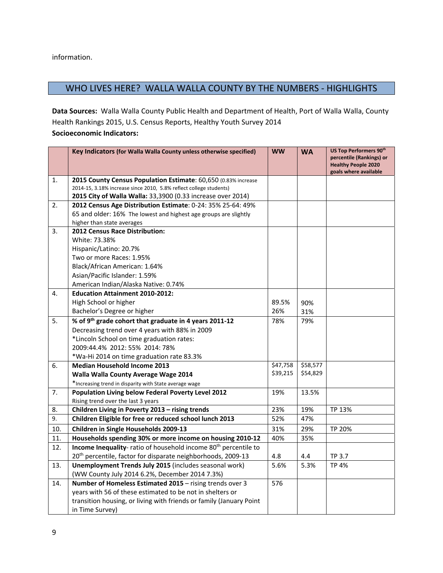information.

# WHO LIVES HERE? WALLA WALLA COUNTY BY THE NUMBERS - HIGHLIGHTS

**Data Sources:** Walla Walla County Public Health and Department of Health, Port of Walla Walla, County Health Rankings 2015, U.S. Census Reports, Healthy Youth Survey 2014 **Socioeconomic Indicators:**

|     | Key Indicators (for Walla Walla County unless otherwise specified)         | <b>WW</b> | <b>WA</b> | <b>US Top Performers 90th</b><br>percentile (Rankings) or<br><b>Healthy People 2020</b><br>goals where available |
|-----|----------------------------------------------------------------------------|-----------|-----------|------------------------------------------------------------------------------------------------------------------|
| 1.  | 2015 County Census Population Estimate: 60,650 (0.83% increase             |           |           |                                                                                                                  |
|     | 2014-15, 3.18% increase since 2010, 5.8% reflect college students)         |           |           |                                                                                                                  |
|     | 2015 City of Walla Walla: 33,3900 (0.33 increase over 2014)                |           |           |                                                                                                                  |
| 2.  | 2012 Census Age Distribution Estimate: 0-24: 35% 25-64: 49%                |           |           |                                                                                                                  |
|     | 65 and older: 16% The lowest and highest age groups are slightly           |           |           |                                                                                                                  |
| 3.  | higher than state averages<br>2012 Census Race Distribution:               |           |           |                                                                                                                  |
|     | White: 73.38%                                                              |           |           |                                                                                                                  |
|     | Hispanic/Latino: 20.7%                                                     |           |           |                                                                                                                  |
|     | Two or more Races: 1.95%                                                   |           |           |                                                                                                                  |
|     | Black/African American: 1.64%                                              |           |           |                                                                                                                  |
|     | Asian/Pacific Islander: 1.59%                                              |           |           |                                                                                                                  |
|     | American Indian/Alaska Native: 0.74%                                       |           |           |                                                                                                                  |
| 4.  | <b>Education Attainment 2010-2012:</b>                                     |           |           |                                                                                                                  |
|     | High School or higher                                                      | 89.5%     | 90%       |                                                                                                                  |
|     | Bachelor's Degree or higher                                                | 26%       | 31%       |                                                                                                                  |
| 5.  | % of 9 <sup>th</sup> grade cohort that graduate in 4 years 2011-12         | 78%       | 79%       |                                                                                                                  |
|     | Decreasing trend over 4 years with 88% in 2009                             |           |           |                                                                                                                  |
|     | *Lincoln School on time graduation rates:                                  |           |           |                                                                                                                  |
|     | 2009:44.4% 2012: 55% 2014: 78%                                             |           |           |                                                                                                                  |
|     | *Wa-Hi 2014 on time graduation rate 83.3%                                  |           |           |                                                                                                                  |
| 6.  | <b>Median Household Income 2013</b>                                        | \$47,758  | \$58,577  |                                                                                                                  |
|     | Walla Walla County Average Wage 2014                                       | \$39,215  | \$54,829  |                                                                                                                  |
|     | *Increasing trend in disparity with State average wage                     |           |           |                                                                                                                  |
| 7.  | Population Living below Federal Poverty Level 2012                         | 19%       | 13.5%     |                                                                                                                  |
|     | Rising trend over the last 3 years                                         |           |           |                                                                                                                  |
| 8.  | Children Living in Poverty 2013 - rising trends                            | 23%       | 19%       | TP 13%                                                                                                           |
| 9.  | Children Eligible for free or reduced school lunch 2013                    | 52%       | 47%       |                                                                                                                  |
| 10. | Children in Single Households 2009-13                                      | 31%       | 29%       | TP 20%                                                                                                           |
| 11. | Households spending 30% or more income on housing 2010-12                  | 40%       | 35%       |                                                                                                                  |
| 12. | Income Inequality-ratio of household income 80 <sup>th</sup> percentile to |           |           |                                                                                                                  |
|     | 20 <sup>th</sup> percentile, factor for disparate neighborhoods, 2009-13   | 4.8       | 4.4       | TP 3.7                                                                                                           |
| 13. | Unemployment Trends July 2015 (includes seasonal work)                     | 5.6%      | 5.3%      | <b>TP 4%</b>                                                                                                     |
|     | (WW County July 2014 6.2%, December 2014 7.3%)                             |           |           |                                                                                                                  |
| 14. | Number of Homeless Estimated 2015 - rising trends over 3                   | 576       |           |                                                                                                                  |
|     | years with 56 of these estimated to be not in shelters or                  |           |           |                                                                                                                  |
|     | transition housing, or living with friends or family (January Point        |           |           |                                                                                                                  |
|     | in Time Survey)                                                            |           |           |                                                                                                                  |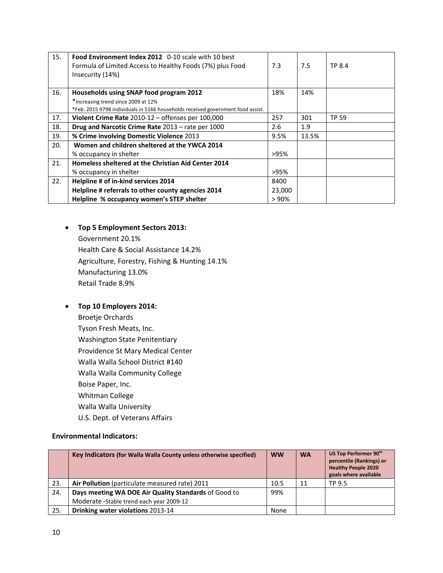| 15. | Food Environment Index 2012 0-10 scale with 10 best<br>Formula of Limited Access to Healthy Foods (7%) plus Food<br>Insecurity (14%) | 7.3    | 7.5   | TP 8.4 |
|-----|--------------------------------------------------------------------------------------------------------------------------------------|--------|-------|--------|
| 16. | Households using SNAP food program 2012                                                                                              | 18%    | 14%   |        |
|     | *Increasing trend since 2009 at 12%                                                                                                  |        |       |        |
|     | *Feb. 2015 9798 individuals in 5166 households received government food assist.                                                      |        |       |        |
| 17. | Violent Crime Rate 2010-12 - offenses per 100,000                                                                                    | 257    | 301   | TP 59  |
| 18. | Drug and Narcotic Crime Rate 2013 - rate per 1000                                                                                    | 2.6    | 1.9   |        |
| 19. | % Crime involving Domestic Violence 2013                                                                                             | 9.5%   | 13.5% |        |
| 20. | Women and children sheltered at the YWCA 2014                                                                                        |        |       |        |
|     | % occupancy in shelter                                                                                                               | >95%   |       |        |
| 21. | Homeless sheltered at the Christian Aid Center 2014                                                                                  |        |       |        |
|     | % occupancy in shelter                                                                                                               | >95%   |       |        |
| 22. | Helpline # of in-kind services 2014                                                                                                  | 8400   |       |        |
|     | Helpline # referrals to other county agencies 2014                                                                                   | 23,000 |       |        |
|     | Helpline % occupancy women's STEP shelter                                                                                            | >90%   |       |        |

# **Top 5 Employment Sectors 2013:**

Government 20.1% Health Care & Social Assistance 14.2% Agriculture, Forestry, Fishing & Hunting 14.1% Manufacturing 13.0% Retail Trade 8.9%

## **Top 10 Employers 2014:**

Broetje Orchards Tyson Fresh Meats, Inc. Washington State Penitentiary Providence St Mary Medical Center Walla Walla School District #140 Walla Walla Community College Boise Paper, Inc. Whitman College Walla Walla University U.S. Dept. of Veterans Affairs

#### **Environmental Indicators:**

|     | Key Indicators (for Walla Walla County unless otherwise specified) | <b>WW</b> | <b>WA</b> | US Top Performer 90th<br>percentile (Rankings) or<br><b>Healthy People 2020</b><br>goals where available |
|-----|--------------------------------------------------------------------|-----------|-----------|----------------------------------------------------------------------------------------------------------|
| 23. | Air Pollution (particulate measured rate) 2011                     | 10.5      | 11        | TP 9.5                                                                                                   |
| 24. | Days meeting WA DOE Air Quality Standards of Good to               | 99%       |           |                                                                                                          |
|     | Moderate - Stable trend each year 2009-12                          |           |           |                                                                                                          |
| 25. | Drinking water violations 2013-14                                  | None      |           |                                                                                                          |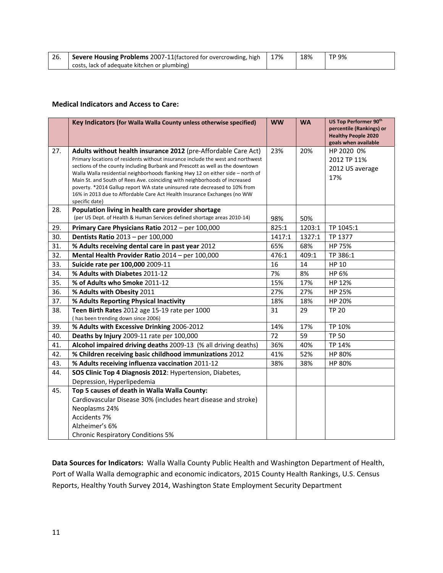| - 26. | Severe Housing Problems 2007-11(factored for overcrowding, high | 17% | 18% | TP 9% |
|-------|-----------------------------------------------------------------|-----|-----|-------|
|       | costs, lack of adequate kitchen or plumbing)                    |     |     |       |

#### **Medical Indicators and Access to Care:**

|     | Key Indicators (for Walla Walla County unless otherwise specified)                                                                                               | <b>WW</b> | <b>WA</b> | US Top Performer 90th<br>percentile (Rankings) or<br><b>Healthy People 2020</b> |
|-----|------------------------------------------------------------------------------------------------------------------------------------------------------------------|-----------|-----------|---------------------------------------------------------------------------------|
|     |                                                                                                                                                                  |           |           | goals when available                                                            |
| 27. | Adults without health insurance 2012 (pre-Affordable Care Act)                                                                                                   | 23%       | 20%       | HP 2020 0%                                                                      |
|     | Primary locations of residents without insurance include the west and northwest<br>sections of the county including Burbank and Prescott as well as the downtown |           |           | 2012 TP 11%                                                                     |
|     | Walla Walla residential neighborhoods flanking Hwy 12 on either side - north of                                                                                  |           |           | 2012 US average                                                                 |
|     | Main St. and South of Rees Ave. coinciding with neighborhoods of increased                                                                                       |           |           | 17%                                                                             |
|     | poverty. *2014 Gallup report WA state uninsured rate decreased to 10% from<br>16% in 2013 due to Affordable Care Act Health Insurance Exchanges (no WW           |           |           |                                                                                 |
|     | specific date)                                                                                                                                                   |           |           |                                                                                 |
| 28. | Population living in health care provider shortage                                                                                                               |           |           |                                                                                 |
|     | (per US Dept. of Health & Human Services defined shortage areas 2010-14)                                                                                         | 98%       | 50%       |                                                                                 |
| 29. | Primary Care Physicians Ratio 2012 - per 100,000                                                                                                                 | 825:1     | 1203:1    | TP 1045:1                                                                       |
| 30. | <b>Dentists Ratio 2013 - per 100,000</b>                                                                                                                         | 1417:1    | 1327:1    | TP 1377                                                                         |
| 31. | % Adults receiving dental care in past year 2012                                                                                                                 | 65%       | 68%       | HP 75%                                                                          |
| 32. | Mental Health Provider Ratio 2014 - per 100,000                                                                                                                  | 476:1     | 409:1     | TP 386:1                                                                        |
| 33. | Suicide rate per 100,000 2009-11                                                                                                                                 | 16        | 14        | <b>HP 10</b>                                                                    |
| 34. | % Adults with Diabetes 2011-12                                                                                                                                   | 7%        | 8%        | HP 6%                                                                           |
| 35. | % of Adults who Smoke 2011-12                                                                                                                                    | 15%       | 17%       | HP 12%                                                                          |
| 36. | % Adults with Obesity 2011                                                                                                                                       | 27%       | 27%       | HP 25%                                                                          |
| 37. | % Adults Reporting Physical Inactivity                                                                                                                           | 18%       | 18%       | HP 20%                                                                          |
| 38. | Teen Birth Rates 2012 age 15-19 rate per 1000                                                                                                                    | 31        | 29        | <b>TP 20</b>                                                                    |
|     | (has been trending down since 2006)                                                                                                                              |           |           |                                                                                 |
| 39. | % Adults with Excessive Drinking 2006-2012                                                                                                                       | 14%       | 17%       | TP 10%                                                                          |
| 40. | Deaths by Injury 2009-11 rate per 100,000                                                                                                                        | 72        | 59        | <b>TP 50</b>                                                                    |
| 41. | Alcohol impaired driving deaths 2009-13 (% all driving deaths)                                                                                                   | 36%       | 40%       | TP 14%                                                                          |
| 42. | % Children receiving basic childhood immunizations 2012                                                                                                          | 41%       | 52%       | HP 80%                                                                          |
| 43. | % Adults receiving influenza vaccination 2011-12                                                                                                                 | 38%       | 38%       | HP 80%                                                                          |
| 44. | SOS Clinic Top 4 Diagnosis 2012: Hypertension, Diabetes,                                                                                                         |           |           |                                                                                 |
|     | Depression, Hyperlipedemia                                                                                                                                       |           |           |                                                                                 |
| 45. | Top 5 causes of death in Walla Walla County:                                                                                                                     |           |           |                                                                                 |
|     | Cardiovascular Disease 30% (includes heart disease and stroke)                                                                                                   |           |           |                                                                                 |
|     | Neoplasms 24%                                                                                                                                                    |           |           |                                                                                 |
|     | Accidents 7%                                                                                                                                                     |           |           |                                                                                 |
|     | Alzheimer's 6%                                                                                                                                                   |           |           |                                                                                 |
|     | <b>Chronic Respiratory Conditions 5%</b>                                                                                                                         |           |           |                                                                                 |

**Data Sources for Indicators:** Walla Walla County Public Health and Washington Department of Health, Port of Walla Walla demographic and economic indicators, 2015 County Health Rankings, U.S. Census Reports, Healthy Youth Survey 2014, Washington State Employment Security Department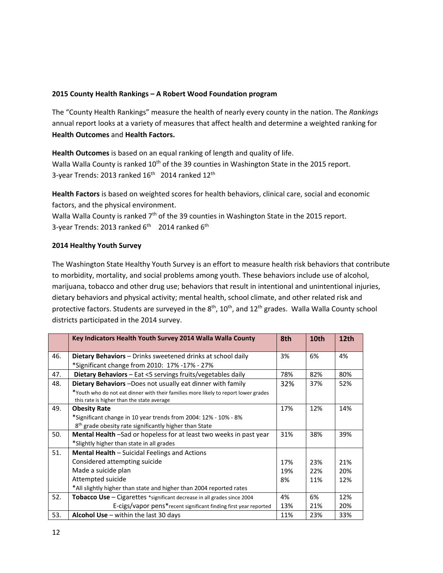#### **2015 County Health Rankings – A Robert Wood Foundation program**

The "County Health Rankings" measure the health of nearly every county in the nation. The *Rankings* annual report looks at a variety of measures that affect health and determine a weighted ranking for **Health Outcomes** and **Health Factors.**

**Health Outcomes** is based on an equal ranking of length and quality of life. Walla Walla County is ranked 10<sup>th</sup> of the 39 counties in Washington State in the 2015 report. 3-year Trends: 2013 ranked  $16<sup>th</sup>$  2014 ranked  $12<sup>th</sup>$ 

**Health Factors** is based on weighted scores for health behaviors, clinical care, social and economic factors, and the physical environment.

Walla Walla County is ranked  $7<sup>th</sup>$  of the 39 counties in Washington State in the 2015 report. 3-year Trends: 2013 ranked 6<sup>th</sup> 2014 ranked 6<sup>th</sup>

### **2014 Healthy Youth Survey**

The Washington State Healthy Youth Survey is an effort to measure health risk behaviors that contribute to morbidity, mortality, and social problems among youth. These behaviors include use of alcohol, marijuana, tobacco and other drug use; behaviors that result in intentional and unintentional injuries, dietary behaviors and physical activity; mental health, school climate, and other related risk and protective factors. Students are surveyed in the  $8<sup>th</sup>$ ,  $10<sup>th</sup>$ , and  $12<sup>th</sup>$  grades. Walla Walla County school districts participated in the 2014 survey.

|     | Key Indicators Health Youth Survey 2014 Walla Walla County                                                                            | 8th | 10th | 12th |
|-----|---------------------------------------------------------------------------------------------------------------------------------------|-----|------|------|
| 46. | <b>Dietary Behaviors</b> – Drinks sweetened drinks at school daily<br>*Significant change from 2010: 17% -17% - 27%                   | 3%  | 6%   | 4%   |
| 47. | Dietary Behaviors - Eat <5 servings fruits/vegetables daily                                                                           | 78% | 82%  | 80%  |
| 48. | Dietary Behaviors-Does not usually eat dinner with family                                                                             | 32% | 37%  | 52%  |
|     | *Youth who do not eat dinner with their families more likely to report lower grades<br>this rate is higher than the state average     |     |      |      |
| 49. | <b>Obesity Rate</b>                                                                                                                   | 17% | 12%  | 14%  |
|     | *Significant change in 10 year trends from 2004: 12% - 10% - 8%<br>8 <sup>th</sup> grade obesity rate significantly higher than State |     |      |      |
| 50. | <b>Mental Health</b> -Sad or hopeless for at least two weeks in past year                                                             | 31% | 38%  | 39%  |
|     | *Slightly higher than state in all grades                                                                                             |     |      |      |
| 51. | <b>Mental Health - Suicidal Feelings and Actions</b>                                                                                  |     |      |      |
|     | Considered attempting suicide                                                                                                         | 17% | 23%  | 21%  |
|     | Made a suicide plan                                                                                                                   | 19% | 22%  | 20%  |
|     | Attempted suicide                                                                                                                     | 8%  | 11%  | 12%  |
|     | *All slightly higher than state and higher than 2004 reported rates                                                                   |     |      |      |
| 52. | <b>Tobacco Use</b> $-$ Cigarettes $*$ significant decrease in all grades since 2004                                                   | 4%  | 6%   | 12%  |
|     | E-cigs/vapor pens*recent significant finding first year reported                                                                      | 13% | 21%  | 20%  |
| 53. | Alcohol Use $-$ within the last 30 days                                                                                               | 11% | 23%  | 33%  |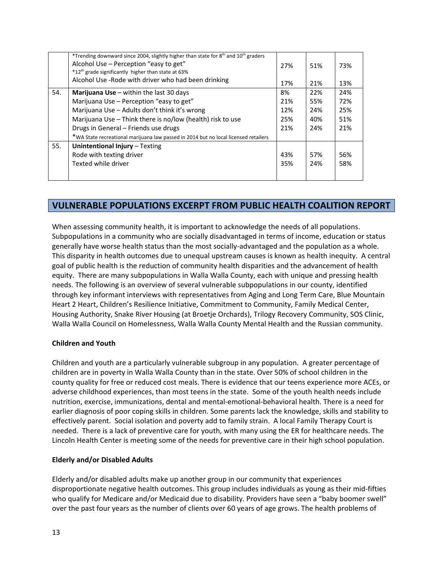|     | *Trending downward since 2004, slightly higher than state for 8 <sup>th</sup> and 10 <sup>th</sup> graders<br>Alcohol Use - Perception "easy to get"<br>*12 <sup>th</sup> grade significantly higher than state at 63% | 27% | 51% | 73% |
|-----|------------------------------------------------------------------------------------------------------------------------------------------------------------------------------------------------------------------------|-----|-----|-----|
|     | Alcohol Use - Rode with driver who had been drinking                                                                                                                                                                   | 17% | 21% | 13% |
| 54. | <b>Marijuana Use</b> $-$ within the last 30 days                                                                                                                                                                       | 8%  | 22% | 24% |
|     | Marijuana Use - Perception "easy to get"                                                                                                                                                                               | 21% | 55% | 72% |
|     | Marijuana Use - Adults don't think it's wrong                                                                                                                                                                          | 12% | 24% | 25% |
|     | Marijuana Use - Think there is no/low (health) risk to use                                                                                                                                                             | 25% | 40% | 51% |
|     | Drugs in General - Friends use drugs                                                                                                                                                                                   | 21% | 24% | 21% |
|     | *WA State recreational marijuana law passed in 2014 but no local licensed retailers                                                                                                                                    |     |     |     |
| 55. | Unintentional Injury - Texting                                                                                                                                                                                         |     |     |     |
|     | Rode with texting driver                                                                                                                                                                                               | 43% | 57% | 56% |
|     | Texted while driver                                                                                                                                                                                                    | 35% | 24% | 58% |
|     |                                                                                                                                                                                                                        |     |     |     |

# **VULNERABLE POPULATIONS EXCERPT FROM PUBLIC HEALTH COALITION REPORT**

When assessing community health, it is important to acknowledge the needs of all populations. Subpopulations in a community who are socially disadvantaged in terms of income, education or status generally have worse health status than the most socially-advantaged and the population as a whole. This disparity in health outcomes due to unequal upstream causes is known as health inequity. A central goal of public health is the reduction of community health disparities and the advancement of health equity. There are many subpopulations in Walla Walla County, each with unique and pressing health needs. The following is an overview of several vulnerable subpopulations in our county, identified through key informant interviews with representatives from Aging and Long Term Care, Blue Mountain Heart 2 Heart, Children's Resilience Initiative, Commitment to Community, Family Medical Center, Housing Authority, Snake River Housing (at Broetje Orchards), Trilogy Recovery Community, SOS Clinic, Walla Walla Council on Homelessness, Walla Walla County Mental Health and the Russian community.

#### **Children and Youth**

Children and youth are a particularly vulnerable subgroup in any population. A greater percentage of children are in poverty in Walla Walla County than in the state. Over 50% of school children in the county quality for free or reduced cost meals. There is evidence that our teens experience more ACEs, or adverse childhood experiences, than most teens in the state. Some of the youth health needs include nutrition, exercise, immunizations, dental and mental‐emotional‐behavioral health. There is a need for earlier diagnosis of poor coping skills in children. Some parents lack the knowledge, skills and stability to effectively parent. Social isolation and poverty add to family strain. A local Family Therapy Court is needed. There is a lack of preventive care for youth, with many using the ER for healthcare needs. The Lincoln Health Center is meeting some of the needs for preventive care in their high school population.

#### **Elderly and/or Disabled Adults**

Elderly and/or disabled adults make up another group in our community that experiences disproportionate negative health outcomes. This group includes individuals as young as their mid‐fifties who qualify for Medicare and/or Medicaid due to disability. Providers have seen a "baby boomer swell" over the past four years as the number of clients over 60 years of age grows. The health problems of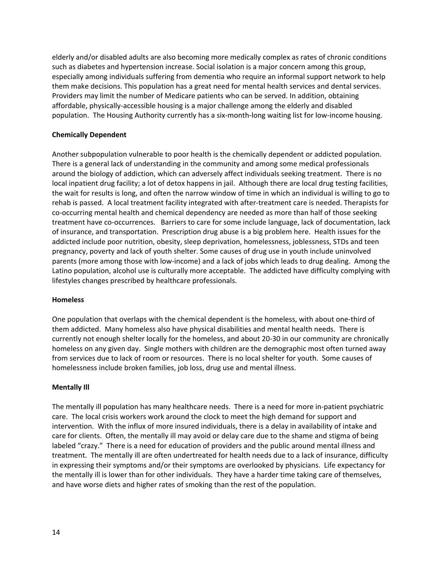elderly and/or disabled adults are also becoming more medically complex as rates of chronic conditions such as diabetes and hypertension increase. Social isolation is a major concern among this group, especially among individuals suffering from dementia who require an informal support network to help them make decisions. This population has a great need for mental health services and dental services. Providers may limit the number of Medicare patients who can be served. In addition, obtaining affordable, physically‐accessible housing is a major challenge among the elderly and disabled population. The Housing Authority currently has a six-month-long waiting list for low-income housing.

#### **Chemically Dependent**

Another subpopulation vulnerable to poor health is the chemically dependent or addicted population. There is a general lack of understanding in the community and among some medical professionals around the biology of addiction, which can adversely affect individuals seeking treatment. There is no local inpatient drug facility; a lot of detox happens in jail. Although there are local drug testing facilities, the wait for results is long, and often the narrow window of time in which an individual is willing to go to rehab is passed. A local treatment facility integrated with after-treatment care is needed. Therapists for co-occurring mental health and chemical dependency are needed as more than half of those seeking treatment have co-occurrences. Barriers to care for some include language, lack of documentation, lack of insurance, and transportation. Prescription drug abuse is a big problem here. Health issues for the addicted include poor nutrition, obesity, sleep deprivation, homelessness, joblessness, STDs and teen pregnancy, poverty and lack of youth shelter. Some causes of drug use in youth include uninvolved parents (more among those with low‐income) and a lack of jobs which leads to drug dealing. Among the Latino population, alcohol use is culturally more acceptable. The addicted have difficulty complying with lifestyles changes prescribed by healthcare professionals.

#### **Homeless**

One population that overlaps with the chemical dependent is the homeless, with about one‐third of them addicted. Many homeless also have physical disabilities and mental health needs. There is currently not enough shelter locally for the homeless, and about 20‐30 in our community are chronically homeless on any given day. Single mothers with children are the demographic most often turned away from services due to lack of room or resources. There is no local shelter for youth. Some causes of homelessness include broken families, job loss, drug use and mental illness.

#### **Mentally Ill**

The mentally ill population has many healthcare needs. There is a need for more in‐patient psychiatric care. The local crisis workers work around the clock to meet the high demand for support and intervention. With the influx of more insured individuals, there is a delay in availability of intake and care for clients. Often, the mentally ill may avoid or delay care due to the shame and stigma of being labeled "crazy." There is a need for education of providers and the public around mental illness and treatment. The mentally ill are often undertreated for health needs due to a lack of insurance, difficulty in expressing their symptoms and/or their symptoms are overlooked by physicians. Life expectancy for the mentally ill is lower than for other individuals. They have a harder time taking care of themselves, and have worse diets and higher rates of smoking than the rest of the population.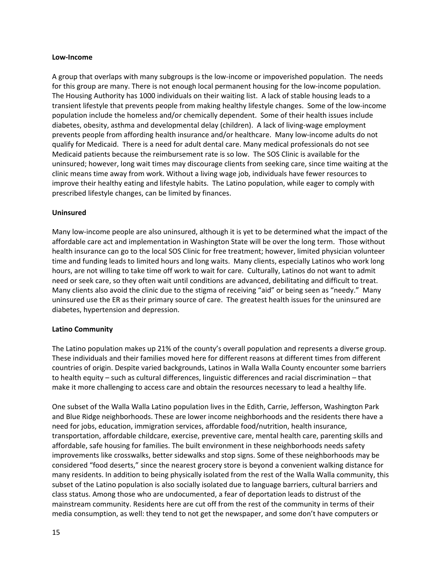#### **Low‐Income**

A group that overlaps with many subgroups is the low‐income or impoverished population. The needs for this group are many. There is not enough local permanent housing for the low-income population. The Housing Authority has 1000 individuals on their waiting list. A lack of stable housing leads to a transient lifestyle that prevents people from making healthy lifestyle changes. Some of the low‐income population include the homeless and/or chemically dependent. Some of their health issues include diabetes, obesity, asthma and developmental delay (children). A lack of living‐wage employment prevents people from affording health insurance and/or healthcare. Many low-income adults do not qualify for Medicaid. There is a need for adult dental care. Many medical professionals do not see Medicaid patients because the reimbursement rate is so low. The SOS Clinic is available for the uninsured; however, long wait times may discourage clients from seeking care, since time waiting at the clinic means time away from work. Without a living wage job, individuals have fewer resources to improve their healthy eating and lifestyle habits. The Latino population, while eager to comply with prescribed lifestyle changes, can be limited by finances.

#### **Uninsured**

Many low-income people are also uninsured, although it is yet to be determined what the impact of the affordable care act and implementation in Washington State will be over the long term. Those without health insurance can go to the local SOS Clinic for free treatment; however, limited physician volunteer time and funding leads to limited hours and long waits. Many clients, especially Latinos who work long hours, are not willing to take time off work to wait for care. Culturally, Latinos do not want to admit need or seek care, so they often wait until conditions are advanced, debilitating and difficult to treat. Many clients also avoid the clinic due to the stigma of receiving "aid" or being seen as "needy." Many uninsured use the ER as their primary source of care. The greatest health issues for the uninsured are diabetes, hypertension and depression.

#### **Latino Community**

The Latino population makes up 21% of the county's overall population and represents a diverse group. These individuals and their families moved here for different reasons at different times from different countries of origin. Despite varied backgrounds, Latinos in Walla Walla County encounter some barriers to health equity – such as cultural differences, linguistic differences and racial discrimination – that make it more challenging to access care and obtain the resources necessary to lead a healthy life.

One subset of the Walla Walla Latino population lives in the Edith, Carrie, Jefferson, Washington Park and Blue Ridge neighborhoods. These are lower income neighborhoods and the residents there have a need for jobs, education, immigration services, affordable food/nutrition, health insurance, transportation, affordable childcare, exercise, preventive care, mental health care, parenting skills and affordable, safe housing for families. The built environment in these neighborhoods needs safety improvements like crosswalks, better sidewalks and stop signs. Some of these neighborhoods may be considered "food deserts," since the nearest grocery store is beyond a convenient walking distance for many residents. In addition to being physically isolated from the rest of the Walla Walla community, this subset of the Latino population is also socially isolated due to language barriers, cultural barriers and class status. Among those who are undocumented, a fear of deportation leads to distrust of the mainstream community. Residents here are cut off from the rest of the community in terms of their media consumption, as well: they tend to not get the newspaper, and some don't have computers or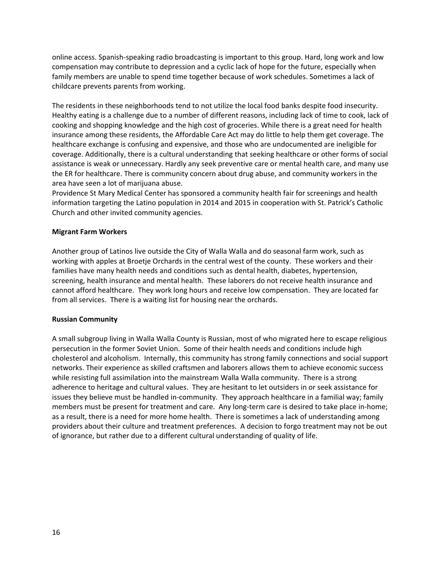online access. Spanish‐speaking radio broadcasting is important to this group. Hard, long work and low compensation may contribute to depression and a cyclic lack of hope for the future, especially when family members are unable to spend time together because of work schedules. Sometimes a lack of childcare prevents parents from working.

The residents in these neighborhoods tend to not utilize the local food banks despite food insecurity. Healthy eating is a challenge due to a number of different reasons, including lack of time to cook, lack of cooking and shopping knowledge and the high cost of groceries. While there is a great need for health insurance among these residents, the Affordable Care Act may do little to help them get coverage. The healthcare exchange is confusing and expensive, and those who are undocumented are ineligible for coverage. Additionally, there is a cultural understanding that seeking healthcare or other forms of social assistance is weak or unnecessary. Hardly any seek preventive care or mental health care, and many use the ER for healthcare. There is community concern about drug abuse, and community workers in the area have seen a lot of marijuana abuse.

Providence St Mary Medical Center has sponsored a community health fair for screenings and health information targeting the Latino population in 2014 and 2015 in cooperation with St. Patrick's Catholic Church and other invited community agencies.

#### **Migrant Farm Workers**

Another group of Latinos live outside the City of Walla Walla and do seasonal farm work, such as working with apples at Broetje Orchards in the central west of the county. These workers and their families have many health needs and conditions such as dental health, diabetes, hypertension, screening, health insurance and mental health. These laborers do not receive health insurance and cannot afford healthcare. They work long hours and receive low compensation. They are located far from all services. There is a waiting list for housing near the orchards.

#### **Russian Community**

A small subgroup living in Walla Walla County is Russian, most of who migrated here to escape religious persecution in the former Soviet Union. Some of their health needs and conditions include high cholesterol and alcoholism. Internally, this community has strong family connections and social support networks. Their experience as skilled craftsmen and laborers allows them to achieve economic success while resisting full assimilation into the mainstream Walla Walla community. There is a strong adherence to heritage and cultural values. They are hesitant to let outsiders in or seek assistance for issues they believe must be handled in‐community. They approach healthcare in a familial way; family members must be present for treatment and care. Any long-term care is desired to take place in-home; as a result, there is a need for more home health. There is sometimes a lack of understanding among providers about their culture and treatment preferences. A decision to forgo treatment may not be out of ignorance, but rather due to a different cultural understanding of quality of life.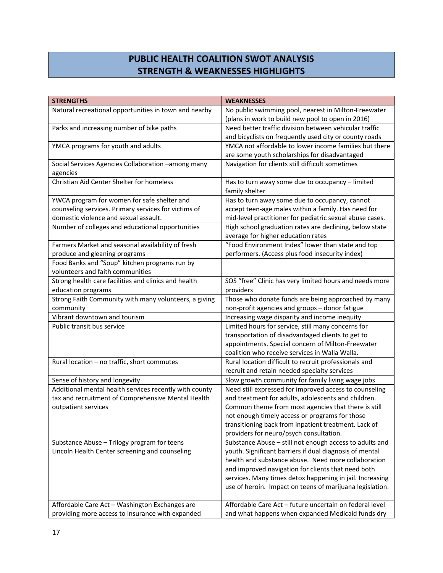# **PUBLIC HEALTH COALITION SWOT ANALYSIS STRENGTH & WEAKNESSES HIGHLIGHTS**

| <b>STRENGTHS</b>                                       | <b>WEAKNESSES</b>                                        |
|--------------------------------------------------------|----------------------------------------------------------|
| Natural recreational opportunities in town and nearby  | No public swimming pool, nearest in Milton-Freewater     |
|                                                        | (plans in work to build new pool to open in 2016)        |
| Parks and increasing number of bike paths              | Need better traffic division between vehicular traffic   |
|                                                        | and bicyclists on frequently used city or county roads   |
| YMCA programs for youth and adults                     | YMCA not affordable to lower income families but there   |
|                                                        | are some youth scholarships for disadvantaged            |
| Social Services Agencies Collaboration -among many     | Navigation for clients still difficult sometimes         |
| agencies                                               |                                                          |
| Christian Aid Center Shelter for homeless              | Has to turn away some due to occupancy - limited         |
|                                                        | family shelter                                           |
| YWCA program for women for safe shelter and            | Has to turn away some due to occupancy, cannot           |
| counseling services. Primary services for victims of   | accept teen-age males within a family. Has need for      |
| domestic violence and sexual assault.                  | mid-level practitioner for pediatric sexual abuse cases. |
| Number of colleges and educational opportunities       | High school graduation rates are declining, below state  |
|                                                        | average for higher education rates                       |
| Farmers Market and seasonal availability of fresh      | "Food Environment Index" lower than state and top        |
| produce and gleaning programs                          | performers. (Access plus food insecurity index)          |
| Food Banks and "Soup" kitchen programs run by          |                                                          |
| volunteers and faith communities                       |                                                          |
| Strong health care facilities and clinics and health   | SOS "free" Clinic has very limited hours and needs more  |
| education programs                                     | providers                                                |
| Strong Faith Community with many volunteers, a giving  | Those who donate funds are being approached by many      |
| community                                              | non-profit agencies and groups - donor fatigue           |
| Vibrant downtown and tourism                           | Increasing wage disparity and income inequity            |
| Public transit bus service                             | Limited hours for service, still many concerns for       |
|                                                        | transportation of disadvantaged clients to get to        |
|                                                        | appointments. Special concern of Milton-Freewater        |
|                                                        | coalition who receive services in Walla Walla.           |
| Rural location - no traffic, short commutes            | Rural location difficult to recruit professionals and    |
|                                                        | recruit and retain needed specialty services             |
| Sense of history and longevity                         | Slow growth community for family living wage jobs        |
| Additional mental health services recently with county | Need still expressed for improved access to counseling   |
| tax and recruitment of Comprehensive Mental Health     | and treatment for adults, adolescents and children.      |
| outpatient services                                    | Common theme from most agencies that there is still      |
|                                                        | not enough timely access or programs for those           |
|                                                        | transitioning back from inpatient treatment. Lack of     |
|                                                        | providers for neuro/psych consultation.                  |
| Substance Abuse - Trilogy program for teens            | Substance Abuse - still not enough access to adults and  |
| Lincoln Health Center screening and counseling         | youth. Significant barriers if dual diagnosis of mental  |
|                                                        | health and substance abuse. Need more collaboration      |
|                                                        | and improved navigation for clients that need both       |
|                                                        | services. Many times detox happening in jail. Increasing |
|                                                        | use of heroin. Impact on teens of marijuana legislation. |
|                                                        |                                                          |
| Affordable Care Act - Washington Exchanges are         | Affordable Care Act - future uncertain on federal level  |
| providing more access to insurance with expanded       | and what happens when expanded Medicaid funds dry        |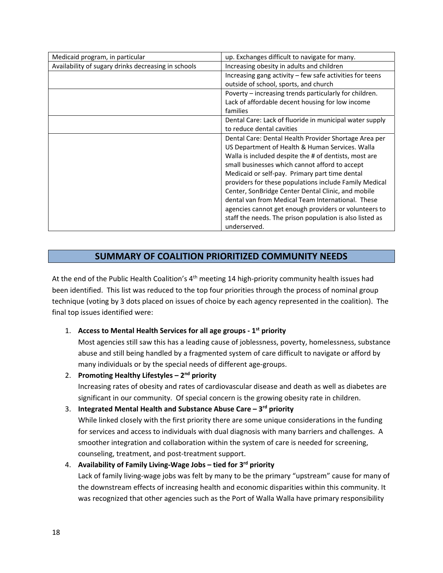| Medicaid program, in particular                     | up. Exchanges difficult to navigate for many.              |
|-----------------------------------------------------|------------------------------------------------------------|
| Availability of sugary drinks decreasing in schools | Increasing obesity in adults and children                  |
|                                                     | Increasing gang activity $-$ few safe activities for teens |
|                                                     | outside of school, sports, and church                      |
|                                                     | Poverty – increasing trends particularly for children.     |
|                                                     | Lack of affordable decent housing for low income           |
|                                                     | families                                                   |
|                                                     | Dental Care: Lack of fluoride in municipal water supply    |
|                                                     | to reduce dental cavities                                  |
|                                                     | Dental Care: Dental Health Provider Shortage Area per      |
|                                                     | US Department of Health & Human Services. Walla            |
|                                                     | Walla is included despite the # of dentists, most are      |
|                                                     | small businesses which cannot afford to accept             |
|                                                     | Medicaid or self-pay. Primary part time dental             |
|                                                     | providers for these populations include Family Medical     |
|                                                     | Center, SonBridge Center Dental Clinic, and mobile         |
|                                                     | dental van from Medical Team International. These          |
|                                                     | agencies cannot get enough providers or volunteers to      |
|                                                     | staff the needs. The prison population is also listed as   |
|                                                     | underserved.                                               |

# **SUMMARY OF COALITION PRIORITIZED COMMUNITY NEEDS**

At the end of the Public Health Coalition's 4<sup>th</sup> meeting 14 high-priority community health issues had been identified. This list was reduced to the top four priorities through the process of nominal group technique (voting by 3 dots placed on issues of choice by each agency represented in the coalition). The final top issues identified were:

## 1. **Access to Mental Health Services for all age groups ‐ 1st priority**

Most agencies still saw this has a leading cause of joblessness, poverty, homelessness, substance abuse and still being handled by a fragmented system of care difficult to navigate or afford by many individuals or by the special needs of different age‐groups.

2. **Promoting Healthy Lifestyles – 2nd priority**

Increasing rates of obesity and rates of cardiovascular disease and death as well as diabetes are significant in our community. Of special concern is the growing obesity rate in children.

## 3. **Integrated Mental Health and Substance Abuse Care – 3rd priority**

While linked closely with the first priority there are some unique considerations in the funding for services and access to individuals with dual diagnosis with many barriers and challenges. A smoother integration and collaboration within the system of care is needed for screening, counseling, treatment, and post-treatment support.

## 4. **Availability of Family Living‐Wage Jobs – tied for 3rd priority**

Lack of family living‐wage jobs was felt by many to be the primary "upstream" cause for many of the downstream effects of increasing health and economic disparities within this community. It was recognized that other agencies such as the Port of Walla Walla have primary responsibility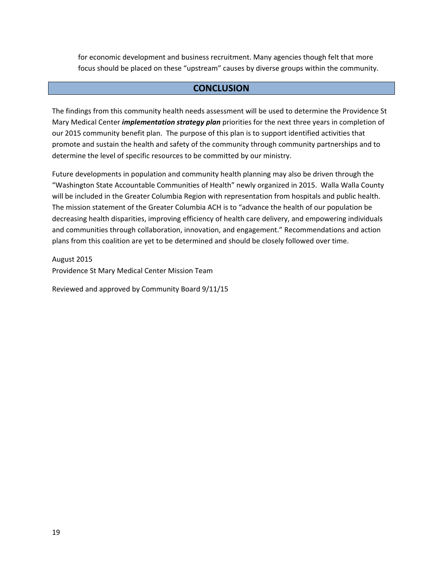for economic development and business recruitment. Many agencies though felt that more focus should be placed on these "upstream" causes by diverse groups within the community.

## **CONCLUSION**

The findings from this community health needs assessment will be used to determine the Providence St Mary Medical Center *implementation strategy plan* priorities for the next three years in completion of our 2015 community benefit plan. The purpose of this plan is to support identified activities that promote and sustain the health and safety of the community through community partnerships and to determine the level of specific resources to be committed by our ministry.

Future developments in population and community health planning may also be driven through the "Washington State Accountable Communities of Health" newly organized in 2015. Walla Walla County will be included in the Greater Columbia Region with representation from hospitals and public health. The mission statement of the Greater Columbia ACH is to "advance the health of our population be decreasing health disparities, improving efficiency of health care delivery, and empowering individuals and communities through collaboration, innovation, and engagement." Recommendations and action plans from this coalition are yet to be determined and should be closely followed over time.

August 2015 Providence St Mary Medical Center Mission Team

Reviewed and approved by Community Board 9/11/15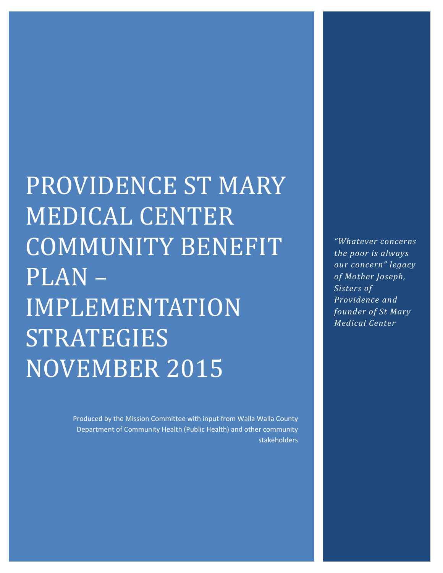PROVIDENCE ST MARY MEDICAL CENTER COMMUNITY BENEFIT PLAN – IMPLEMENTATION STRATEGIES NOVEMBER 2015

> Produced by the Mission Committee with input from Walla Walla County Department of Community Health (Public Health) and other community stakeholders

*"Whatever concerns the poor is always our concern" legacy of Mother Joseph, Sisters of Providence and founder of St Mary Medical Center*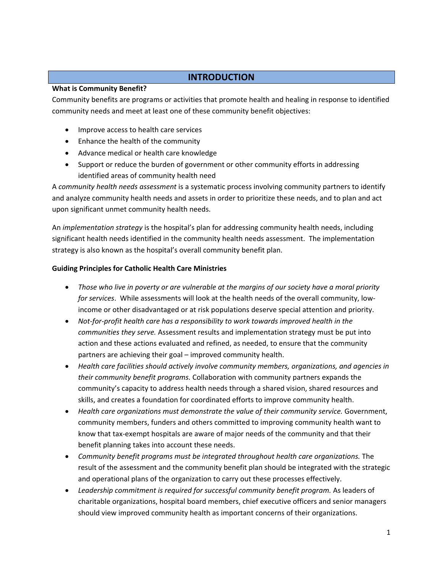# **INTRODUCTION**

### **What is Community Benefit?**

Community benefits are programs or activities that promote health and healing in response to identified community needs and meet at least one of these community benefit objectives:

- Improve access to health care services
- Enhance the health of the community
- Advance medical or health care knowledge
- Support or reduce the burden of government or other community efforts in addressing identified areas of community health need

A *community health needs assessment* is a systematic process involving community partners to identify and analyze community health needs and assets in order to prioritize these needs, and to plan and act upon significant unmet community health needs.

An *implementation strategy* is the hospital's plan for addressing community health needs, including significant health needs identified in the community health needs assessment. The implementation strategy is also known as the hospital's overall community benefit plan.

### **Guiding Principles for Catholic Health Care Ministries**

- *Those who live in poverty or are vulnerable at the margins of our society have a moral priority for services*. While assessments will look at the health needs of the overall community, low‐ income or other disadvantaged or at risk populations deserve special attention and priority.
- *Not‐for‐profit health care has a responsibility to work towards improved health in the communities they serve.* Assessment results and implementation strategy must be put into action and these actions evaluated and refined, as needed, to ensure that the community partners are achieving their goal – improved community health.
- *Health care facilities should actively involve community members, organizations, and agencies in their community benefit programs.* Collaboration with community partners expands the community's capacity to address health needs through a shared vision, shared resources and skills, and creates a foundation for coordinated efforts to improve community health.
- *Health care organizations must demonstrate the value of their community service.* Government, community members, funders and others committed to improving community health want to know that tax-exempt hospitals are aware of major needs of the community and that their benefit planning takes into account these needs.
- *Community benefit programs must be integrated throughout health care organizations.* The result of the assessment and the community benefit plan should be integrated with the strategic and operational plans of the organization to carry out these processes effectively.
- *Leadership commitment is required for successful community benefit program.* As leaders of charitable organizations, hospital board members, chief executive officers and senior managers should view improved community health as important concerns of their organizations.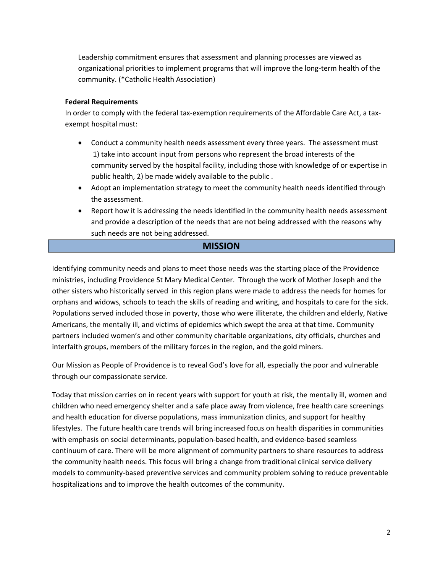Leadership commitment ensures that assessment and planning processes are viewed as organizational priorities to implement programs that will improve the long‐term health of the community. (\*Catholic Health Association)

#### **Federal Requirements**

In order to comply with the federal tax‐exemption requirements of the Affordable Care Act, a tax‐ exempt hospital must:

- Conduct a community health needs assessment every three years. The assessment must 1) take into account input from persons who represent the broad interests of the community served by the hospital facility, including those with knowledge of or expertise in public health, 2) be made widely available to the public .
- Adopt an implementation strategy to meet the community health needs identified through the assessment.
- Report how it is addressing the needs identified in the community health needs assessment and provide a description of the needs that are not being addressed with the reasons why such needs are not being addressed.

## **MISSION**

Identifying community needs and plans to meet those needs was the starting place of the Providence ministries, including Providence St Mary Medical Center. Through the work of Mother Joseph and the other sisters who historically served in this region plans were made to address the needs for homes for orphans and widows, schools to teach the skills of reading and writing, and hospitals to care for the sick. Populations served included those in poverty, those who were illiterate, the children and elderly, Native Americans, the mentally ill, and victims of epidemics which swept the area at that time. Community partners included women's and other community charitable organizations, city officials, churches and interfaith groups, members of the military forces in the region, and the gold miners.

Our Mission as People of Providence is to reveal God's love for all, especially the poor and vulnerable through our compassionate service.

Today that mission carries on in recent years with support for youth at risk, the mentally ill, women and children who need emergency shelter and a safe place away from violence, free health care screenings and health education for diverse populations, mass immunization clinics, and support for healthy lifestyles. The future health care trends will bring increased focus on health disparities in communities with emphasis on social determinants, population‐based health, and evidence‐based seamless continuum of care. There will be more alignment of community partners to share resources to address the community health needs. This focus will bring a change from traditional clinical service delivery models to community‐based preventive services and community problem solving to reduce preventable hospitalizations and to improve the health outcomes of the community.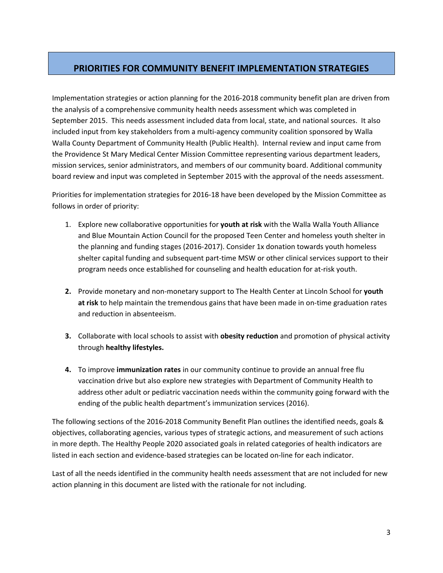# **PRIORITIES FOR COMMUNITY BENEFIT IMPLEMENTATION STRATEGIES**

Implementation strategies or action planning for the 2016‐2018 community benefit plan are driven from the analysis of a comprehensive community health needs assessment which was completed in September 2015. This needs assessment included data from local, state, and national sources. It also included input from key stakeholders from a multi‐agency community coalition sponsored by Walla Walla County Department of Community Health (Public Health). Internal review and input came from the Providence St Mary Medical Center Mission Committee representing various department leaders, mission services, senior administrators, and members of our community board. Additional community board review and input was completed in September 2015 with the approval of the needs assessment.

Priorities for implementation strategies for 2016‐18 have been developed by the Mission Committee as follows in order of priority:

- 1. Explore new collaborative opportunities for **youth at risk** with the Walla Walla Youth Alliance and Blue Mountain Action Council for the proposed Teen Center and homeless youth shelter in the planning and funding stages (2016‐2017). Consider 1x donation towards youth homeless shelter capital funding and subsequent part-time MSW or other clinical services support to their program needs once established for counseling and health education for at‐risk youth.
- **2.** Provide monetary and non‐monetary support to The Health Center at Lincoln School for **youth at risk** to help maintain the tremendous gains that have been made in on‐time graduation rates and reduction in absenteeism.
- **3.** Collaborate with local schools to assist with **obesity reduction** and promotion of physical activity through **healthy lifestyles.**
- **4.** To improve **immunization rates** in our community continue to provide an annual free flu vaccination drive but also explore new strategies with Department of Community Health to address other adult or pediatric vaccination needs within the community going forward with the ending of the public health department's immunization services (2016).

The following sections of the 2016‐2018 Community Benefit Plan outlines the identified needs, goals & objectives, collaborating agencies, various types of strategic actions, and measurement of such actions in more depth. The Healthy People 2020 associated goals in related categories of health indicators are listed in each section and evidence‐based strategies can be located on‐line for each indicator.

Last of all the needs identified in the community health needs assessment that are not included for new action planning in this document are listed with the rationale for not including.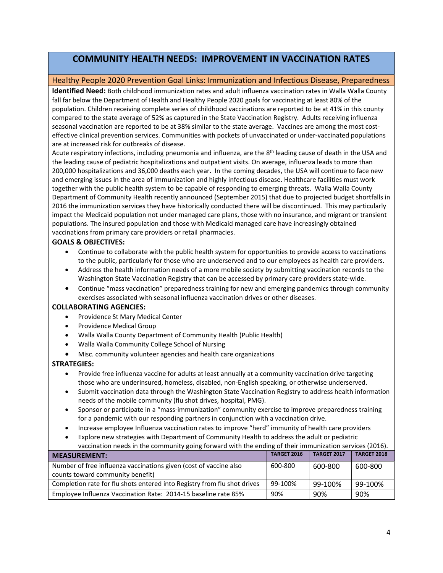# **COMMUNITY HEALTH NEEDS: IMPROVEMENT IN VACCINATION RATES**

#### Healthy People 2020 Prevention Goal Links: Immunization and Infectious Disease, Preparedness

**Identified Need:** Both childhood immunization rates and adult influenza vaccination rates in Walla Walla County fall far below the Department of Health and Healthy People 2020 goals for vaccinating at least 80% of the population. Children receiving complete series of childhood vaccinations are reported to be at 41% in this county compared to the state average of 52% as captured in the State Vaccination Registry. Adults receiving influenza seasonal vaccination are reported to be at 38% similar to the state average. Vaccines are among the most costeffective clinical prevention services. Communities with pockets of unvaccinated or under‐vaccinated populations are at increased risk for outbreaks of disease.

Acute respiratory infections, including pneumonia and influenza, are the 8th leading cause of death in the USA and the leading cause of pediatric hospitalizations and outpatient visits. On average, influenza leads to more than 200,000 hospitalizations and 36,000 deaths each year. In the coming decades, the USA will continue to face new and emerging issues in the area of immunization and highly infectious disease. Healthcare facilities must work together with the public health system to be capable of responding to emerging threats. Walla Walla County Department of Community Health recently announced (September 2015) that due to projected budget shortfalls in 2016 the immunization services they have historically conducted there will be discontinued. This may particularly impact the Medicaid population not under managed care plans, those with no insurance, and migrant or transient populations. The insured population and those with Medicaid managed care have increasingly obtained vaccinations from primary care providers or retail pharmacies.

#### **GOALS & OBJECTIVES:**

- Continue to collaborate with the public health system for opportunities to provide access to vaccinations to the public, particularly for those who are underserved and to our employees as health care providers.
- Address the health information needs of a more mobile society by submitting vaccination records to the Washington State Vaccination Registry that can be accessed by primary care providers state‐wide.
- Continue "mass vaccination" preparedness training for new and emerging pandemics through community exercises associated with seasonal influenza vaccination drives or other diseases.

#### **COLLABORATING AGENCIES:**

- Providence St Mary Medical Center
- Providence Medical Group
- Walla Walla County Department of Community Health (Public Health)
- Walla Walla Community College School of Nursing
- Misc. community volunteer agencies and health care organizations

#### **STRATEGIES:**

- Provide free influenza vaccine for adults at least annually at a community vaccination drive targeting those who are underinsured, homeless, disabled, non‐English speaking, or otherwise underserved.
- Submit vaccination data through the Washington State Vaccination Registry to address health information needs of the mobile community (flu shot drives, hospital, PMG).
- Sponsor or participate in a "mass-immunization" community exercise to improve preparedness training for a pandemic with our responding partners in conjunction with a vaccination drive.
- Increase employee Influenza vaccination rates to improve "herd" immunity of health care providers
- Explore new strategies with Department of Community Health to address the adult or pediatric vaccination needs in the community going forward with the ending of their immunization services (2016).

| <b>MEASUREMENT:</b>                                                      | <b>TARGET 2016</b> | <b>TARGET 2017</b> | <b>TARGET 2018</b> |
|--------------------------------------------------------------------------|--------------------|--------------------|--------------------|
| Number of free influenza vaccinations given (cost of vaccine also        | 600-800            | 600-800            | 600-800            |
| counts toward community benefit)                                         |                    |                    |                    |
| Completion rate for flu shots entered into Registry from flu shot drives | 99-100%            | 99-100%            | 99-100%            |
| Employee Influenza Vaccination Rate: 2014-15 baseline rate 85%           | 90%                | 90%                | 90%                |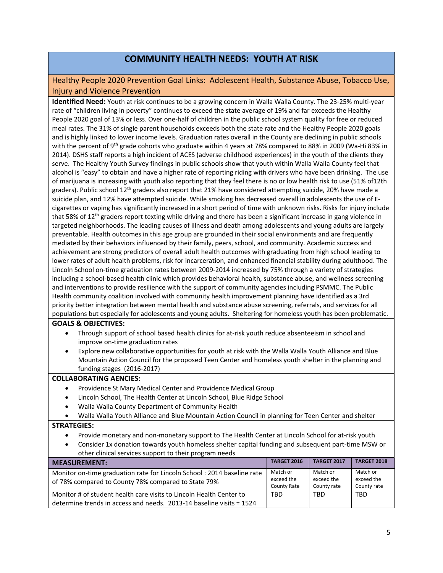# **COMMUNITY HEALTH NEEDS: YOUTH AT RISK**

## Healthy People 2020 Prevention Goal Links: Adolescent Health, Substance Abuse, Tobacco Use, Injury and Violence Prevention

**Identified Need:** Youth at risk continues to be a growing concern in Walla Walla County. The 23‐25% multi‐year rate of "children living in poverty" continues to exceed the state average of 19% and far exceeds the Healthy People 2020 goal of 13% or less. Over one‐half of children in the public school system quality for free or reduced meal rates. The 31% of single parent households exceeds both the state rate and the Healthy People 2020 goals and is highly linked to lower income levels. Graduation rates overall in the County are declining in public schools with the percent of 9<sup>th</sup> grade cohorts who graduate within 4 years at 78% compared to 88% in 2009 (Wa-Hi 83% in 2014). DSHS staff reports a high incident of ACES (adverse childhood experiences) in the youth of the clients they serve. The Healthy Youth Survey findings in public schools show that youth within Walla Walla County feel that alcohol is "easy" to obtain and have a higher rate of reporting riding with drivers who have been drinking. The use of marijuana is increasing with youth also reporting that they feel there is no or low health risk to use (51% of12th graders). Public school 12<sup>th</sup> graders also report that 21% have considered attempting suicide, 20% have made a suicide plan, and 12% have attempted suicide. While smoking has decreased overall in adolescents the use of E‐ cigarettes or vaping has significantly increased in a short period of time with unknown risks. Risks for injury include that 58% of  $12<sup>th</sup>$  graders report texting while driving and there has been a significant increase in gang violence in targeted neighborhoods. The leading causes of illness and death among adolescents and young adults are largely preventable. Health outcomes in this age group are grounded in their social environments and are frequently mediated by their behaviors influenced by their family, peers, school, and community. Academic success and achievement are strong predictors of overall adult health outcomes with graduating from high school leading to lower rates of adult health problems, risk for incarceration, and enhanced financial stability during adulthood. The Lincoln School on‐time graduation rates between 2009‐2014 increased by 75% through a variety of strategies including a school‐based health clinic which provides behavioral health, substance abuse, and wellness screening and interventions to provide resilience with the support of community agencies including PSMMC. The Public Health community coalition involved with community health improvement planning have identified as a 3rd priority better integration between mental health and substance abuse screening, referrals, and services for all populations but especially for adolescents and young adults. Sheltering for homeless youth has been problematic.

#### **GOALS & OBJECTIVES:**

- Through support of school based health clinics for at‐risk youth reduce absenteeism in school and improve on-time graduation rates
- Explore new collaborative opportunities for youth at risk with the Walla Walla Youth Alliance and Blue Mountain Action Council for the proposed Teen Center and homeless youth shelter in the planning and funding stages (2016‐2017)

#### **COLLABORATING AENCIES:**

- Providence St Mary Medical Center and Providence Medical Group
- Lincoln School, The Health Center at Lincoln School, Blue Ridge School
- Walla Walla County Department of Community Health
- Walla Walla Youth Alliance and Blue Mountain Action Council in planning for Teen Center and shelter

#### **STRATEGIES:**

- Provide monetary and non-monetary support to The Health Center at Lincoln School for at-risk youth
- Consider 1x donation towards youth homeless shelter capital funding and subsequent part‐time MSW or other clinical services support to their program needs

| MEASUREMENT:                                                                                                                  | <b>TARGET 2016</b>                    | <b>TARGET 2017</b>                    | <b>TARGET 2018</b>                    |
|-------------------------------------------------------------------------------------------------------------------------------|---------------------------------------|---------------------------------------|---------------------------------------|
| Monitor on-time graduation rate for Lincoln School: 2014 baseline rate<br>of 78% compared to County 78% compared to State 79% | Match or<br>exceed the<br>County Rate | Match or<br>exceed the<br>County rate | Match or<br>exceed the<br>County rate |
| Monitor # of student health care visits to Lincoln Health Center to                                                           | TBD                                   | <b>TBD</b>                            | <b>TBD</b>                            |
| determine trends in access and needs. 2013-14 baseline visits = 1524                                                          |                                       |                                       |                                       |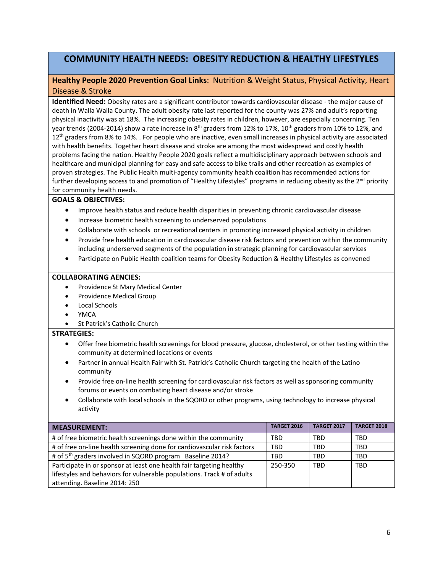# **COMMUNITY HEALTH NEEDS: OBESITY REDUCTION & HEALTHY LIFESTYLES**

## **Healthy People 2020 Prevention Goal Links**: Nutrition & Weight Status, Physical Activity, Heart Disease & Stroke

**Identified Need:** Obesity rates are a significant contributor towards cardiovascular disease ‐ the major cause of death in Walla Walla County. The adult obesity rate last reported for the county was 27% and adult's reporting physical inactivity was at 18%. The increasing obesity rates in children, however, are especially concerning. Ten year trends (2004-2014) show a rate increase in 8<sup>th</sup> graders from 12% to 17%, 10<sup>th</sup> graders from 10% to 12%, and 12<sup>th</sup> graders from 8% to 14%. . For people who are inactive, even small increases in physical activity are associated with health benefits. Together heart disease and stroke are among the most widespread and costly health problems facing the nation. Healthy People 2020 goals reflect a multidisciplinary approach between schools and healthcare and municipal planning for easy and safe access to bike trails and other recreation as examples of proven strategies. The Public Health multi‐agency community health coalition has recommended actions for further developing access to and promotion of "Healthy Lifestyles" programs in reducing obesity as the 2<sup>nd</sup> priority for community health needs.

#### **GOALS & OBJECTIVES:**

- Improve health status and reduce health disparities in preventing chronic cardiovascular disease
- Increase biometric health screening to underserved populations
- Collaborate with schools or recreational centers in promoting increased physical activity in children
- Provide free health education in cardiovascular disease risk factors and prevention within the community including underserved segments of the population in strategic planning for cardiovascular services
- Participate on Public Health coalition teams for Obesity Reduction & Healthy Lifestyles as convened

#### **COLLABORATING AENCIES:**

- Providence St Mary Medical Center
- Providence Medical Group
- Local Schools
- YMCA
- St Patrick's Catholic Church

#### **STRATEGIES:**

- Offer free biometric health screenings for blood pressure, glucose, cholesterol, or other testing within the community at determined locations or events
- Partner in annual Health Fair with St. Patrick's Catholic Church targeting the health of the Latino community
- Provide free on-line health screening for cardiovascular risk factors as well as sponsoring community forums or events on combating heart disease and/or stroke
- Collaborate with local schools in the SQORD or other programs, using technology to increase physical activity

| <b>MEASUREMENT:</b>                                                     | <b>TARGET 2016</b> | <b>TARGET 2017</b> | <b>TARGET 2018</b> |
|-------------------------------------------------------------------------|--------------------|--------------------|--------------------|
| # of free biometric health screenings done within the community         | <b>TBD</b>         | <b>TBD</b>         | <b>TBD</b>         |
| # of free on-line health screening done for cardiovascular risk factors | <b>TBD</b>         | <b>TBD</b>         | <b>TBD</b>         |
| # of 5 <sup>th</sup> graders involved in SQORD program Baseline 2014?   | <b>TBD</b>         | <b>TBD</b>         | <b>TBD</b>         |
| Participate in or sponsor at least one health fair targeting healthy    | 250-350            | <b>TBD</b>         | <b>TBD</b>         |
| lifestyles and behaviors for vulnerable populations. Track # of adults  |                    |                    |                    |
| attending. Baseline 2014: 250                                           |                    |                    |                    |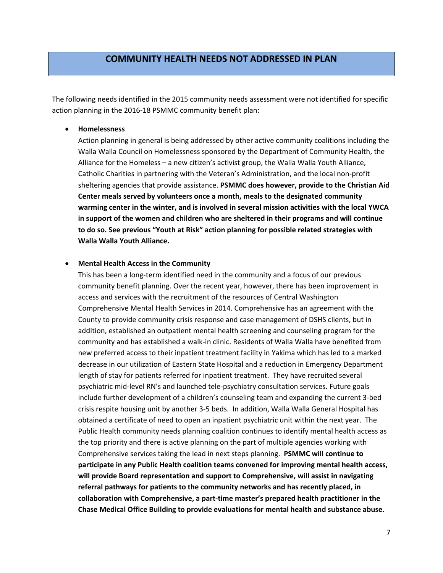# **COMMUNITY HEALTH NEEDS NOT ADDRESSED IN PLAN**

The following needs identified in the 2015 community needs assessment were not identified for specific action planning in the 2016‐18 PSMMC community benefit plan:

### **Homelessness**

Action planning in general is being addressed by other active community coalitions including the Walla Walla Council on Homelessness sponsored by the Department of Community Health, the Alliance for the Homeless – a new citizen's activist group, the Walla Walla Youth Alliance, Catholic Charities in partnering with the Veteran's Administration, and the local non‐profit sheltering agencies that provide assistance. **PSMMC does however, provide to the Christian Aid Center meals served by volunteers once a month, meals to the designated community warming center in the winter, and is involved in several mission activities with the local YWCA in support of the women and children who are sheltered in their programs and will continue to do so. See previous "Youth at Risk" action planning for possible related strategies with Walla Walla Youth Alliance.**

#### **Mental Health Access in the Community**

This has been a long‐term identified need in the community and a focus of our previous community benefit planning. Over the recent year, however, there has been improvement in access and services with the recruitment of the resources of Central Washington Comprehensive Mental Health Services in 2014. Comprehensive has an agreement with the County to provide community crisis response and case management of DSHS clients, but in addition, established an outpatient mental health screening and counseling program for the community and has established a walk‐in clinic. Residents of Walla Walla have benefited from new preferred access to their inpatient treatment facility in Yakima which has led to a marked decrease in our utilization of Eastern State Hospital and a reduction in Emergency Department length of stay for patients referred for inpatient treatment. They have recruited several psychiatric mid‐level RN's and launched tele‐psychiatry consultation services. Future goals include further development of a children's counseling team and expanding the current 3‐bed crisis respite housing unit by another 3‐5 beds. In addition, Walla Walla General Hospital has obtained a certificate of need to open an inpatient psychiatric unit within the next year. The Public Health community needs planning coalition continues to identify mental health access as the top priority and there is active planning on the part of multiple agencies working with Comprehensive services taking the lead in next steps planning. **PSMMC will continue to participate in any Public Health coalition teams convened for improving mental health access, will provide Board representation and support to Comprehensive, will assist in navigating referral pathways for patients to the community networks and has recently placed, in collaboration with Comprehensive, a part‐time master's prepared health practitioner in the Chase Medical Office Building to provide evaluations for mental health and substance abuse.**